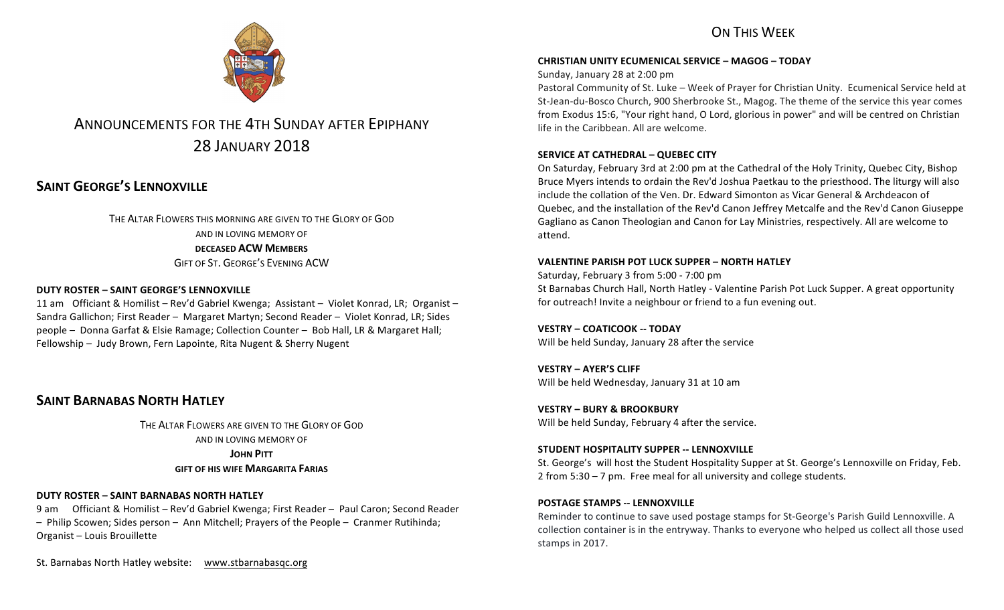## ON THIS WFFK



# ANNOUNCEMENTS FOR THE 4TH SUNDAY AFTER EPIPHANY 28 JANUARY 2018

## **SAINT GEORGE'S LENNOXVILLE**

THE ALTAR FLOWERS THIS MORNING ARE GIVEN TO THE GLORY OF GOD AND IN LOVING MEMORY OF **DECEASED ACW MEMBERS** GIFT OF ST. GEORGE'S EVENING ACW

#### **DUTY ROSTER – SAINT GEORGE'S LENNOXVILLE**

11 am Officiant & Homilist – Rev'd Gabriel Kwenga; Assistant – Violet Konrad, LR; Organist – Sandra Gallichon; First Reader – Margaret Martyn; Second Reader – Violet Konrad, LR; Sides people - Donna Garfat & Elsie Ramage; Collection Counter - Bob Hall, LR & Margaret Hall; Fellowship – Judy Brown, Fern Lapointe, Rita Nugent & Sherry Nugent

## **SAINT BARNABAS NORTH HATLEY**

THE ALTAR FLOWERS ARE GIVEN TO THE GLORY OF GOD AND IN LOVING MEMORY OF **JOHN PITT GIFT OF HIS WIFE MARGARITA FARIAS** 

#### **DUTY ROSTER – SAINT BARNABAS NORTH HATLEY**

9 am Officiant & Homilist – Rev'd Gabriel Kwenga; First Reader – Paul Caron; Second Reader - Philip Scowen; Sides person - Ann Mitchell; Prayers of the People - Cranmer Rutihinda; Organist - Louis Brouillette

St. Barnabas North Hatley website: www.stbarnabasqc.org

#### **CHRISTIAN UNITY ECUMENICAL SERVICE – MAGOG – TODAY**

Sunday, January 28 at 2:00 pm

Pastoral Community of St. Luke - Week of Prayer for Christian Unity. Ecumenical Service held at St-Jean-du-Bosco Church, 900 Sherbrooke St., Magog. The theme of the service this year comes from Exodus 15:6, "Your right hand, O Lord, glorious in power" and will be centred on Christian life in the Caribbean. All are welcome.

#### **SERVICE AT CATHEDRAL – QUEBEC CITY**

On Saturday, February 3rd at 2:00 pm at the Cathedral of the Holy Trinity, Quebec City, Bishop Bruce Myers intends to ordain the Rev'd Joshua Paetkau to the priesthood. The liturgy will also include the collation of the Ven. Dr. Edward Simonton as Vicar General & Archdeacon of Quebec, and the installation of the Rev'd Canon Jeffrey Metcalfe and the Rev'd Canon Giuseppe Gagliano as Canon Theologian and Canon for Lay Ministries, respectively. All are welcome to attend.

#### **VALENTINE PARISH POT LUCK SUPPER – NORTH HATLEY**

Saturday, February 3 from 5:00 - 7:00 pm St Barnabas Church Hall, North Hatley - Valentine Parish Pot Luck Supper. A great opportunity for outreach! Invite a neighbour or friend to a fun evening out.

**VESTRY – COATICOOK -- TODAY** Will be held Sunday, January 28 after the service

**VESTRY – AYER'S CLIFF** Will be held Wednesday, January 31 at 10 am

**VESTRY – BURY & BROOKBURY** Will be held Sunday, February 4 after the service.

#### **STUDENT HOSPITALITY SUPPER -- LENNOXVILLE**

St. George's will host the Student Hospitality Supper at St. George's Lennoxville on Friday, Feb. 2 from  $5:30 - 7$  pm. Free meal for all university and college students.

#### **POSTAGE STAMPS -- LENNOXVILLE**

Reminder to continue to save used postage stamps for St-George's Parish Guild Lennoxville. A collection container is in the entryway. Thanks to everyone who helped us collect all those used stamps in 2017.